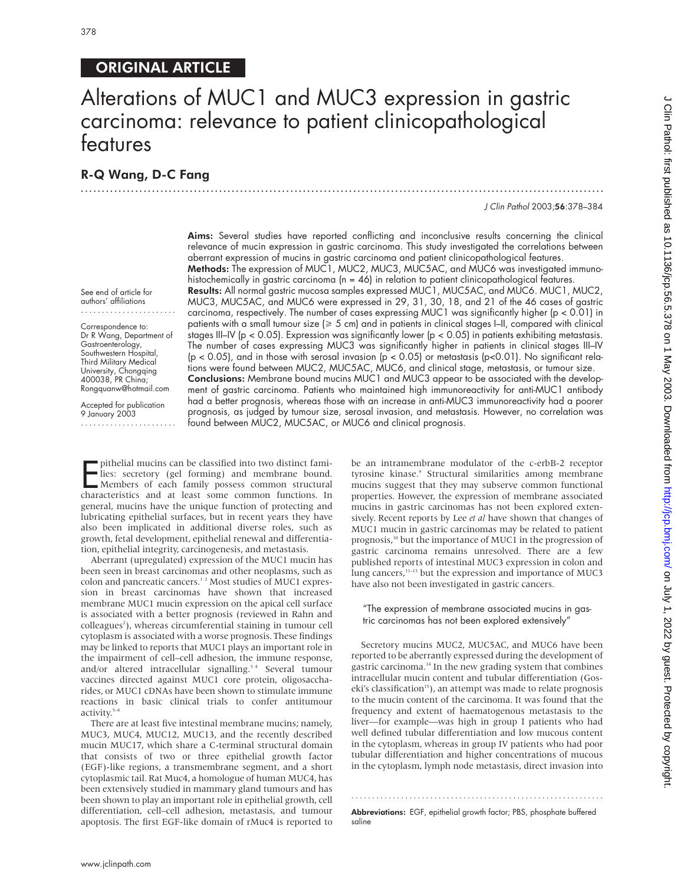# ORIGINAL ARTICLE

# Alterations of MUC1 and MUC3 expression in gastric carcinoma: relevance to patient clinicopathological features

.............................................................................................................................

# R-Q Wang, D-C Fang

J Clin Pathol 2003;56:378–384

Aims: Several studies have reported conflicting and inconclusive results concerning the clinical relevance of mucin expression in gastric carcinoma. This study investigated the correlations between aberrant expression of mucins in gastric carcinoma and patient clinicopathological features. Methods: The expression of MUC1, MUC2, MUC3, MUC5AC, and MUC6 was investigated immunohistochemically in gastric carcinoma ( $n = 46$ ) in relation to patient clinicopathological features. Results: All normal gastric mucosa samples expressed MUC1, MUC5AC, and MUC6. MUC1, MUC2, MUC3, MUC5AC, and MUC6 were expressed in 29, 31, 30, 18, and 21 of the 46 cases of gastric carcinoma, respectively. The number of cases expressing MUC1 was significantly higher (p < 0.01) in patients with a small tumour size ( $\geq 5$  cm) and in patients in clinical stages  $|$ -II, compared with clinical stages III–IV ( $p < 0.05$ ). Expression was significantly lower ( $p < 0.05$ ) in patients exhibiting metastasis. The number of cases expressing MUC3 was significantly higher in patients in clinical stages III–IV (p < 0.05), and in those with serosal invasion (p < 0.05) or metastasis (p<0.01). No significant relations were found between MUC2, MUC5AC, MUC6, and clinical stage, metastasis, or tumour size. Conclusions: Membrane bound mucins MUC1 and MUC3 appear to be associated with the development of gastric carcinoma. Patients who maintained high immunoreactivity for anti-MUC1 antibody had a better prognosis, whereas those with an increase in anti-MUC3 immunoreactivity had a poorer prognosis, as judged by tumour size, serosal invasion, and metastasis. However, no correlation was found between MUC2, MUC5AC, or MUC6 and clinical prognosis.

See end of article for authors' affiliations .......................

Correspondence to: Dr R Wang, Department of Gastroenterology, Southwestern Hospital, Third Military Medical University, Chongqing 400038, PR China; Rongquanw@hotmail.com

Accepted for publication 9 January 2003 .......................

puthelial mucins can be classified into two distinct families: secretory (gel forming) and membrane bound.<br>Members of each family possess common structural<br>characteristics and at least some common functions. In pithelial mucins can be classified into two distinct families: secretory (gel forming) and membrane bound. Members of each family possess common structural general, mucins have the unique function of protecting and lubricating epithelial surfaces, but in recent years they have also been implicated in additional diverse roles, such as growth, fetal development, epithelial renewal and differentiation, epithelial integrity, carcinogenesis, and metastasis.

Aberrant (upregulated) expression of the MUC1 mucin has been seen in breast carcinomas and other neoplasms, such as colon and pancreatic cancers.1 2 Most studies of MUC1 expression in breast carcinomas have shown that increased membrane MUC1 mucin expression on the apical cell surface is associated with a better prognosis (reviewed in Rahn and colleagues<sup>2</sup>), whereas circumferential staining in tumour cell cytoplasm is associated with a worse prognosis. These findings may be linked to reports that MUC1 plays an important role in the impairment of cell–cell adhesion, the immune response, and/or altered intracellular signalling.<sup>34</sup> Several tumour vaccines directed against MUC1 core protein, oligosaccharides, or MUC1 cDNAs have been shown to stimulate immune reactions in basic clinical trials to confer antitumour activity.<sup>5-8</sup>

There are at least five intestinal membrane mucins; namely, MUC3, MUC4, MUC12, MUC13, and the recently described mucin MUC17, which share a C-terminal structural domain that consists of two or three epithelial growth factor (EGF)-like regions, a transmembrane segment, and a short cytoplasmic tail. Rat Muc4, a homologue of human MUC4, has been extensively studied in mammary gland tumours and has been shown to play an important role in epithelial growth, cell differentiation, cell–cell adhesion, metastasis, and tumour apoptosis. The first EGF-like domain of rMuc4 is reported to

be an intramembrane modulator of the c-erbB-2 receptor tyrosine kinase.<sup>9</sup> Structural similarities among membrane mucins suggest that they may subserve common functional properties. However, the expression of membrane associated mucins in gastric carcinomas has not been explored extensively. Recent reports by Lee *et al* have shown that changes of MUC1 mucin in gastric carcinomas may be related to patient prognosis,10 but the importance of MUC1 in the progression of gastric carcinoma remains unresolved. There are a few published reports of intestinal MUC3 expression in colon and lung cancers,<sup>11-13</sup> but the expression and importance of MUC3 have also not been investigated in gastric cancers.

#### "The expression of membrane associated mucins in gastric carcinomas has not been explored extensively"

Secretory mucins MUC2, MUC5AC, and MUC6 have been reported to be aberrantly expressed during the development of gastric carcinoma. $14$  In the new grading system that combines intracellular mucin content and tubular differentiation (Goseki's classification<sup>15</sup>), an attempt was made to relate prognosis to the mucin content of the carcinoma. It was found that the frequency and extent of haematogenous metastasis to the liver—for example—was high in group I patients who had well defined tubular differentiation and low mucous content in the cytoplasm, whereas in group IV patients who had poor tubular differentiation and higher concentrations of mucous in the cytoplasm, lymph node metastasis, direct invasion into

............................................................. Abbreviations: EGF, epithelial growth factor; PBS, phosphate buffered saline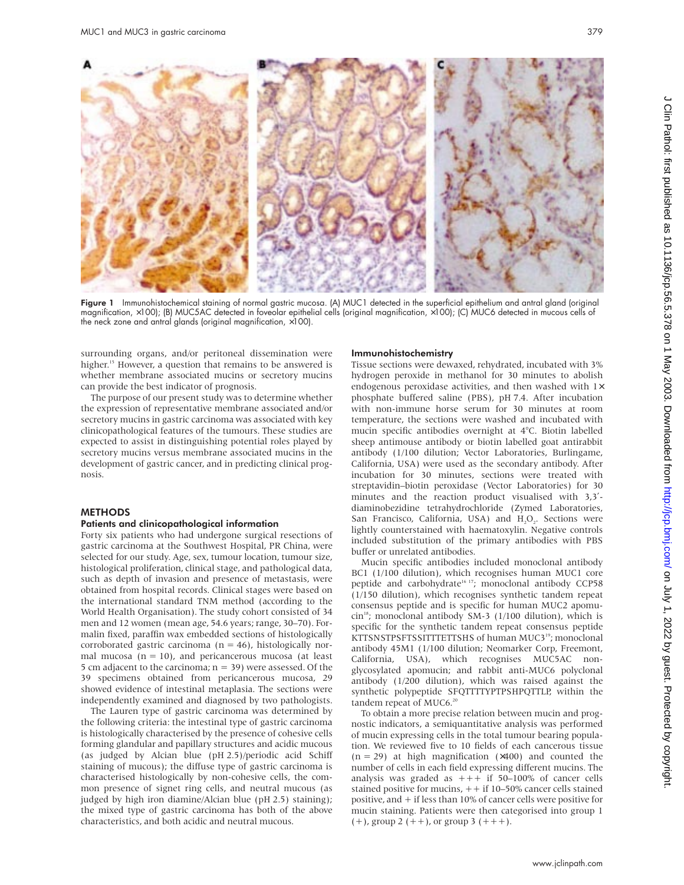

Figure 1 Immunohistochemical staining of normal gastric mucosa. (A) MUC1 detected in the superficial epithelium and antral gland (original magnification, ×100); (B) MUC5AC detected in foveolar epithelial cells (original magnification, ×100); (C) MUC6 detected in mucous cells of the neck zone and antral glands (original magnification,  $\times$ 100).

surrounding organs, and/or peritoneal dissemination were higher.<sup>15</sup> However, a question that remains to be answered is whether membrane associated mucins or secretory mucins can provide the best indicator of prognosis.

The purpose of our present study was to determine whether the expression of representative membrane associated and/or secretory mucins in gastric carcinoma was associated with key clinicopathological features of the tumours. These studies are expected to assist in distinguishing potential roles played by secretory mucins versus membrane associated mucins in the development of gastric cancer, and in predicting clinical prognosis.

#### **METHODS**

#### Patients and clinicopathological information

Forty six patients who had undergone surgical resections of gastric carcinoma at the Southwest Hospital, PR China, were selected for our study. Age, sex, tumour location, tumour size, histological proliferation, clinical stage, and pathological data, such as depth of invasion and presence of metastasis, were obtained from hospital records. Clinical stages were based on the international standard TNM method (according to the World Health Organisation). The study cohort consisted of 34 men and 12 women (mean age, 54.6 years; range, 30–70). Formalin fixed, paraffin wax embedded sections of histologically corroborated gastric carcinoma ( $n = 46$ ), histologically normal mucosa  $(n = 10)$ , and pericancerous mucosa (at least 5 cm adjacent to the carcinoma;  $n = 39$ ) were assessed. Of the 39 specimens obtained from pericancerous mucosa, 29 showed evidence of intestinal metaplasia. The sections were independently examined and diagnosed by two pathologists.

The Lauren type of gastric carcinoma was determined by the following criteria: the intestinal type of gastric carcinoma is histologically characterised by the presence of cohesive cells forming glandular and papillary structures and acidic mucous (as judged by Alcian blue (pH 2.5)/periodic acid Schiff staining of mucous); the diffuse type of gastric carcinoma is characterised histologically by non-cohesive cells, the common presence of signet ring cells, and neutral mucous (as judged by high iron diamine/Alcian blue (pH 2.5) staining); the mixed type of gastric carcinoma has both of the above characteristics, and both acidic and neutral mucous.

#### Immunohistochemistry

Tissue sections were dewaxed, rehydrated, incubated with 3% hydrogen peroxide in methanol for 30 minutes to abolish endogenous peroxidase activities, and then washed with 1× phosphate buffered saline (PBS), pH 7.4. After incubation with non-immune horse serum for 30 minutes at room temperature, the sections were washed and incubated with mucin specific antibodies overnight at 4°C. Biotin labelled sheep antimouse antibody or biotin labelled goat antirabbit antibody (1/100 dilution; Vector Laboratories, Burlingame, California, USA) were used as the secondary antibody. After incubation for 30 minutes, sections were treated with streptavidin–biotin peroxidase (Vector Laboratories) for 30 minutes and the reaction product visualised with 3,3′ diaminobezidine tetrahydrochloride (Zymed Laboratories, San Francisco, California, USA) and H<sub>2</sub>O<sub>2</sub>. Sections were lightly counterstained with haematoxylin. Negative controls included substitution of the primary antibodies with PBS buffer or unrelated antibodies.

Mucin specific antibodies included monoclonal antibody BC1 (1/100 dilution), which recognises human MUC1 core peptide and carbohydrate<sup>16-17</sup>; monoclonal antibody CCP58 (1/150 dilution), which recognises synthetic tandem repeat consensus peptide and is specific for human MUC2 apomu- $\sin^{18}$ ; monoclonal antibody SM-3 (1/100 dilution), which is specific for the synthetic tandem repeat consensus peptide KTTSNSTPSFTSSITTTETTSHS of human MUC3<sup>19</sup>; monoclonal antibody 45M1 (1/100 dilution; Neomarker Corp, Freemont, California, USA), which recognises MUC5AC nonglycosylated apomucin; and rabbit anti-MUC6 polyclonal antibody (1/200 dilution), which was raised against the synthetic polypeptide SFQTTTTYPTPSHPQTTLP, within the tandem repeat of MUC6.<sup>20</sup>

To obtain a more precise relation between mucin and prognostic indicators, a semiquantitative analysis was performed of mucin expressing cells in the total tumour bearing population. We reviewed five to 10 fields of each cancerous tissue  $(n = 29)$  at high magnification  $(x400)$  and counted the number of cells in each field expressing different mucins. The analysis was graded as  $++$  if 50–100% of cancer cells stained positive for mucins, ++ if 10–50% cancer cells stained positive, and + if less than 10% of cancer cells were positive for mucin staining. Patients were then categorised into group 1  $(+)$ , group 2  $(++)$ , or group 3  $(++)$ .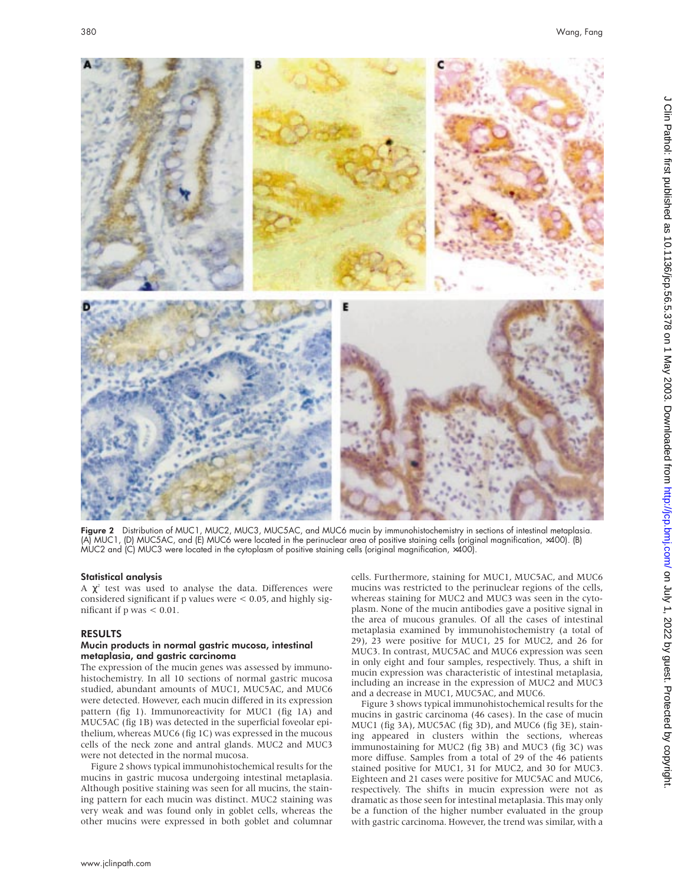

Figure 2 Distribution of MUC1, MUC2, MUC3, MUC5AC, and MUC6 mucin by immunohistochemistry in sections of intestinal metaplasia. (A) MUC1, (D) MUC5AC, and (E) MUC6 were located in the perinuclear area of positive staining cells (original magnification, ×400). (B) MUC2 and (C) MUC3 were located in the cytoplasm of positive staining cells (original magnification, ×400).

# Statistical analysis

A  $\chi^2$  test was used to analyse the data. Differences were considered significant if p values were < 0.05, and highly significant if p was < 0.01.

# RESULTS

## Mucin products in normal gastric mucosa, intestinal metaplasia, and gastric carcinoma

The expression of the mucin genes was assessed by immunohistochemistry. In all 10 sections of normal gastric mucosa studied, abundant amounts of MUC1, MUC5AC, and MUC6 were detected. However, each mucin differed in its expression pattern (fig 1). Immunoreactivity for MUC1 (fig 1A) and MUC5AC (fig 1B) was detected in the superficial foveolar epithelium, whereas MUC6 (fig 1C) was expressed in the mucous cells of the neck zone and antral glands. MUC2 and MUC3 were not detected in the normal mucosa.

Figure 2 shows typical immunohistochemical results for the mucins in gastric mucosa undergoing intestinal metaplasia. Although positive staining was seen for all mucins, the staining pattern for each mucin was distinct. MUC2 staining was very weak and was found only in goblet cells, whereas the other mucins were expressed in both goblet and columnar

cells. Furthermore, staining for MUC1, MUC5AC, and MUC6 mucins was restricted to the perinuclear regions of the cells, whereas staining for MUC2 and MUC3 was seen in the cytoplasm. None of the mucin antibodies gave a positive signal in the area of mucous granules. Of all the cases of intestinal metaplasia examined by immunohistochemistry (a total of 29), 23 were positive for MUC1, 25 for MUC2, and 26 for MUC3. In contrast, MUC5AC and MUC6 expression was seen in only eight and four samples, respectively. Thus, a shift in mucin expression was characteristic of intestinal metaplasia, including an increase in the expression of MUC2 and MUC3 and a decrease in MUC1, MUC5AC, and MUC6.

Figure 3 shows typical immunohistochemical results for the mucins in gastric carcinoma (46 cases). In the case of mucin MUC1 (fig 3A), MUC5AC (fig 3D), and MUC6 (fig 3E), staining appeared in clusters within the sections, whereas immunostaining for MUC2 (fig 3B) and MUC3 (fig 3C) was more diffuse. Samples from a total of 29 of the 46 patients stained positive for MUC1, 31 for MUC2, and 30 for MUC3. Eighteen and 21 cases were positive for MUC5AC and MUC6, respectively. The shifts in mucin expression were not as dramatic as those seen for intestinal metaplasia. This may only be a function of the higher number evaluated in the group with gastric carcinoma. However, the trend was similar, with a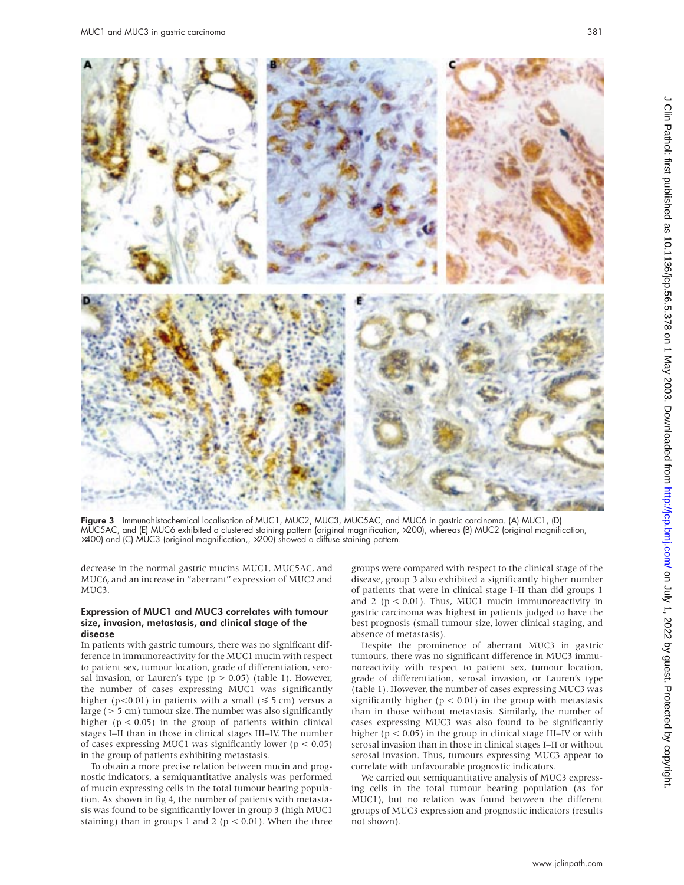

Figure 3 Immunohistochemical localisation of MUC1, MUC2, MUC3, MUC5AC, and MUC6 in gastric carcinoma. (A) MUC1, (D) MUC5AC, and (E) MUC6 exhibited a clustered staining pattern (original magnification, ×200), whereas (B) MUC2 (original magnification,  $\times$ 400) and (C) MUC3 (original magnification,,  $\times$ 200) showed a diffuse staining pattern.

decrease in the normal gastric mucins MUC1, MUC5AC, and MUC6, and an increase in "aberrant" expression of MUC2 and MUC3.

#### Expression of MUC1 and MUC3 correlates with tumour size, invasion, metastasis, and clinical stage of the disease

In patients with gastric tumours, there was no significant difference in immunoreactivity for the MUC1 mucin with respect to patient sex, tumour location, grade of differentiation, serosal invasion, or Lauren's type ( $p > 0.05$ ) (table 1). However, the number of cases expressing MUC1 was significantly higher (p<0.01) in patients with a small ( $\leq 5$  cm) versus a large (> 5 cm) tumour size. The number was also significantly higher ( $p < 0.05$ ) in the group of patients within clinical stages I–II than in those in clinical stages III–IV. The number of cases expressing MUC1 was significantly lower ( $p < 0.05$ ) in the group of patients exhibiting metastasis.

To obtain a more precise relation between mucin and prognostic indicators, a semiquantitative analysis was performed of mucin expressing cells in the total tumour bearing population. As shown in fig 4, the number of patients with metastasis was found to be significantly lower in group 3 (high MUC1 staining) than in groups 1 and 2 ( $p < 0.01$ ). When the three

groups were compared with respect to the clinical stage of the disease, group 3 also exhibited a significantly higher number of patients that were in clinical stage I–II than did groups 1 and 2 ( $p < 0.01$ ). Thus, MUC1 mucin immunoreactivity in gastric carcinoma was highest in patients judged to have the best prognosis (small tumour size, lower clinical staging, and absence of metastasis).

Despite the prominence of aberrant MUC3 in gastric tumours, there was no significant difference in MUC3 immunoreactivity with respect to patient sex, tumour location, grade of differentiation, serosal invasion, or Lauren's type (table 1). However, the number of cases expressing MUC3 was significantly higher ( $p < 0.01$ ) in the group with metastasis than in those without metastasis. Similarly, the number of cases expressing MUC3 was also found to be significantly higher ( $p < 0.05$ ) in the group in clinical stage III–IV or with serosal invasion than in those in clinical stages I–II or without serosal invasion. Thus, tumours expressing MUC3 appear to correlate with unfavourable prognostic indicators.

We carried out semiquantitative analysis of MUC3 expressing cells in the total tumour bearing population (as for MUC1), but no relation was found between the different groups of MUC3 expression and prognostic indicators (results not shown).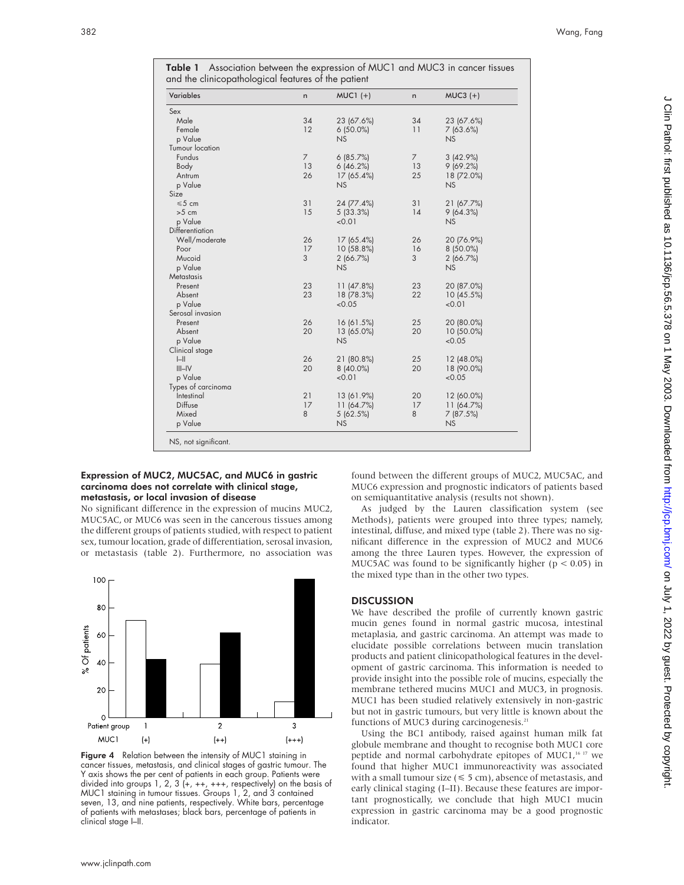|  |                                                     |  | <b>Table 1</b> Association between the expression of MUC1 and MUC3 in cancer tissues |  |
|--|-----------------------------------------------------|--|--------------------------------------------------------------------------------------|--|
|  | and the clinicopathological features of the patient |  |                                                                                      |  |

| <b>Variables</b>       | n              | $MUC1 (+)$  | n              | $MUC3 (+)$ |  |
|------------------------|----------------|-------------|----------------|------------|--|
| Sex                    |                |             |                |            |  |
| Male                   | 34             | 23 (67.6%)  | 34             | 23 (67.6%) |  |
| Female                 | 12             | $6(50.0\%)$ | 11             | 7(63.6%)   |  |
| p Value                |                | NS          |                | NS.        |  |
| <b>Tumour location</b> |                |             |                |            |  |
| Fundus                 | $\overline{7}$ | 6(85.7%)    | $\overline{7}$ | 3(42.9%)   |  |
| Body                   | 13             | 6(46.2%)    | 13             | 9(69.2%)   |  |
| Antrum                 | 26             | 17 (65.4%)  | 25             | 18 (72.0%) |  |
| p Value                |                | <b>NS</b>   |                | NS         |  |
| Size                   |                |             |                |            |  |
| $\leq 5$ cm            | 31             | 24 (77.4%)  | 31             | 21 (67.7%) |  |
| $>5$ cm                | 15             | 5(33.3%)    | 14             | 9(64.3%)   |  |
| p Value                |                | < 0.01      |                | <b>NS</b>  |  |
| Differentiation        |                |             |                |            |  |
| Well/moderate          | 26             | 17 (65.4%)  | 26             | 20 (76.9%) |  |
| Poor                   | 17             | 10 (58.8%)  | 16             | 8 (50.0%)  |  |
| Mucoid                 | 3              | 2(66.7%)    | 3              | 2(66.7%)   |  |
| p Value                |                | <b>NS</b>   |                | NS         |  |
| <b>Metastasis</b>      |                |             |                |            |  |
| Present                | 23             | 11 (47.8%)  | 23             | 20 (87.0%) |  |
| Absent                 | 23             | 18 (78.3%)  | 22             | 10 (45.5%) |  |
| p Value                |                | < 0.05      |                | < 0.01     |  |
| Serosal invasion       |                |             |                |            |  |
| Present                | 26             | 16 (61.5%)  | 25             | 20 (80.0%) |  |
| Absent                 | 20             | 13 (65.0%)  | 20             | 10 (50.0%) |  |
| p Value                |                | <b>NS</b>   |                | < 0.05     |  |
| Clinical stage         |                |             |                |            |  |
| $\left  - \right $     | 26             | 21 (80.8%)  | 25             | 12 (48.0%) |  |
| $III$ -IV              | 20             | $8(40.0\%)$ | 20             | 18 (90.0%) |  |
| p Value                |                | < 0.01      |                | < 0.05     |  |
| Types of carcinoma     |                |             |                |            |  |
| Intestinal             | 21             | 13 (61.9%)  | 20             | 12 (60.0%) |  |
| Diffuse                | 17             | 11(64.7%)   | 17             | 11(64.7%)  |  |
| Mixed                  | 8              | 5(62.5%)    | 8              | 7(87.5%)   |  |
| p Value                |                | <b>NS</b>   |                | <b>NS</b>  |  |

## Expression of MUC2, MUC5AC, and MUC6 in gastric carcinoma does not correlate with clinical stage, metastasis, or local invasion of disease

No significant difference in the expression of mucins MUC2, MUC5AC, or MUC6 was seen in the cancerous tissues among the different groups of patients studied, with respect to patient sex, tumour location, grade of differentiation, serosal invasion, or metastasis (table 2). Furthermore, no association was



Figure 4 Relation between the intensity of MUC1 staining in cancer tissues, metastasis, and clinical stages of gastric tumour. The Y axis shows the per cent of patients in each group. Patients were divided into groups 1, 2, 3  $(+, ++, ++,$  respectively) on the basis of MUC1 staining in tumour tissues. Groups 1, 2, and 3 contained seven, 13, and nine patients, respectively. White bars, percentage of patients with metastases; black bars, percentage of patients in clinical stage I–II.

found between the different groups of MUC2, MUC5AC, and MUC6 expression and prognostic indicators of patients based on semiquantitative analysis (results not shown).

As judged by the Lauren classification system (see Methods), patients were grouped into three types; namely, intestinal, diffuse, and mixed type (table 2). There was no significant difference in the expression of MUC2 and MUC6 among the three Lauren types. However, the expression of MUC5AC was found to be significantly higher ( $p < 0.05$ ) in the mixed type than in the other two types.

# **DISCUSSION**

We have described the profile of currently known gastric mucin genes found in normal gastric mucosa, intestinal metaplasia, and gastric carcinoma. An attempt was made to elucidate possible correlations between mucin translation products and patient clinicopathological features in the development of gastric carcinoma. This information is needed to provide insight into the possible role of mucins, especially the membrane tethered mucins MUC1 and MUC3, in prognosis. MUC1 has been studied relatively extensively in non-gastric but not in gastric tumours, but very little is known about the functions of MUC3 during carcinogenesis.<sup>21</sup>

Using the BC1 antibody, raised against human milk fat globule membrane and thought to recognise both MUC1 core peptide and normal carbohydrate epitopes of MUC1, $1617$  we found that higher MUC1 immunoreactivity was associated with a small tumour size  $(\leq 5 \text{ cm})$ , absence of metastasis, and early clinical staging (I–II). Because these features are important prognostically, we conclude that high MUC1 mucin expression in gastric carcinoma may be a good prognostic indicator.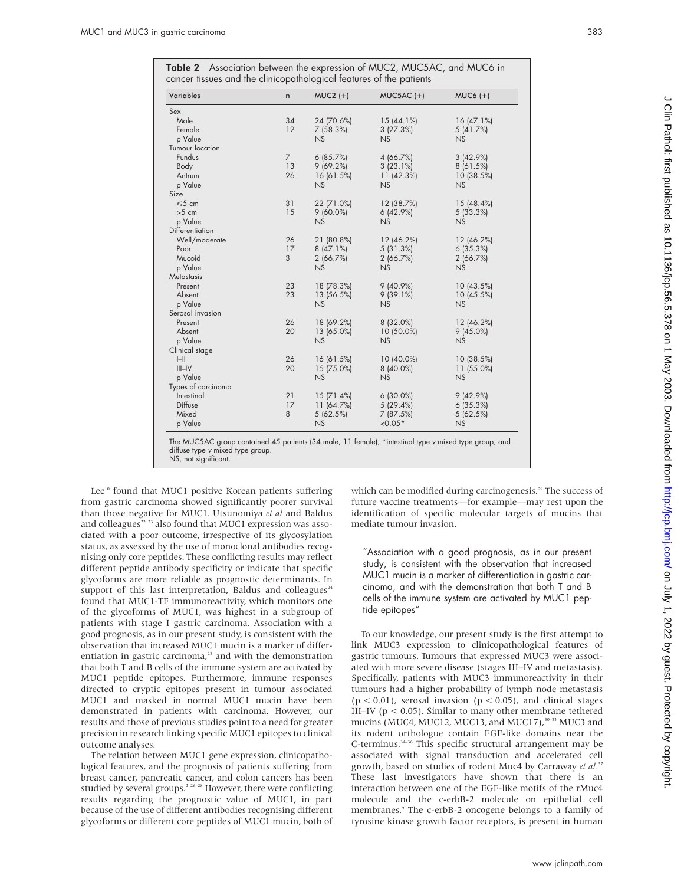Table 2 Association between the expression of MUC2, MUC5AC, and MUC6 in cancer tissues and the clinicopathological features of the patients

| Variables              | n        | $MUC2 (+)$     | $MUC5AC (+)$          | $MUC6 (+)$     |
|------------------------|----------|----------------|-----------------------|----------------|
| Sex                    |          |                |                       |                |
| Male                   | 34       | 24 (70.6%)     | $15(44.1\%)$          | 16(47.1%)      |
| Female                 | 12       | 7(58.3%)       | 3(27.3%)              | 5(41.7%)       |
| p Value                |          | NS             | NS                    | NS             |
| <b>Tumour location</b> |          |                |                       |                |
| Fundus                 | 7        | 6(85.7%)       | 4(66.7%)              | 3(42.9%)       |
| Body                   | 13       | 9(69.2%)       | 3(23.1%)              | 8(61.5%)       |
| Antrum                 | 26       | 16(61.5%)      | 11(42.3%)             | 10(38.5%)      |
| p Value                |          | NS             | NS                    | <b>NS</b>      |
| Size                   |          |                |                       |                |
| $\leq 5$ cm            | 31       | 22 (71.0%)     | 12 (38.7%)            | 15(48.4%)      |
| $>5$ cm                | 15       | $9(60.0\%)$    | 6(42.9%)              | 5(33.3%)       |
| p Value                |          | NS             | NS                    | NS             |
| Differentiation        |          |                |                       |                |
| Well/moderate          | 26       | 21 (80.8%)     | 12 (46.2%)            | 12 (46.2%)     |
| Poor                   | 17       | 8(47.1%)       | 5(31.3%)              | 6(35.3%)       |
| Mucoid                 | 3        | 2(66.7%)       | 2(66.7%)              | 2(66.7%)       |
| p Value                |          | NS             | NS                    | NS             |
| Metastasis             |          |                |                       |                |
| Present                | 23       | 18 (78.3%)     | $9(40.9\%)$           | 10(43.5%)      |
| Absent                 | 23       | 13 (56.5%)     | 9(39.1%)              | 10 (45.5%)     |
| p Value                |          | <b>NS</b>      | NS                    | <b>NS</b>      |
| Serosal invasion       |          |                |                       |                |
| Present                | 26       | 18 (69.2%)     | 8 (32.0%)             | 12 (46.2%)     |
| Absent                 | 20       | 13 (65.0%)     | 10 (50.0%)            | $9(45.0\%)$    |
| p Value                |          | <b>NS</b>      | NS                    | NS             |
| Clinical stage         |          |                |                       |                |
| H                      | 26       | 16(61.5%)      | $10(40.0\%)$          | 10 (38.5%)     |
| $III$ -IV              | 20       | 15 (75.0%)     | 8 (40.0%)             | $11(55.0\%)$   |
| p Value                |          | NS             | <b>NS</b>             | NS             |
| Types of carcinoma     |          |                |                       |                |
| Intestinal<br>Diffuse  | 21<br>17 | 15(71.4%)      | $6(30.0\%)$           | 9(42.9%)       |
|                        | 8        | 11(64.7%)      | 5(29.4%)              | 6(35.3%)       |
| Mixed<br>p Value       |          | 5(62.5%)<br>NS | 7(87.5%)<br>$< 0.05*$ | 5(62.5%)<br>NS |
|                        |          |                |                       |                |
|                        |          |                |                       |                |

The MUC5AC group contained 45 patients (34 male, 11 female); \*intestinal type <sup>v</sup> mixed type group, and diffuse type <sup>v</sup> mixed type group.

NS, not significant.

Lee<sup>10</sup> found that MUC1 positive Korean patients suffering from gastric carcinoma showed significantly poorer survival than those negative for MUC1. Utsunomiya *et al* and Baldus and colleagues<sup>22</sup> <sup>23</sup> also found that MUC1 expression was associated with a poor outcome, irrespective of its glycosylation status, as assessed by the use of monoclonal antibodies recognising only core peptides. These conflicting results may reflect different peptide antibody specificity or indicate that specific glycoforms are more reliable as prognostic determinants. In support of this last interpretation, Baldus and colleagues<sup>24</sup> found that MUC1-TF immunoreactivity, which monitors one of the glycoforms of MUC1, was highest in a subgroup of patients with stage I gastric carcinoma. Association with a good prognosis, as in our present study, is consistent with the observation that increased MUC1 mucin is a marker of differentiation in gastric carcinoma, $25$  and with the demonstration that both T and B cells of the immune system are activated by MUC1 peptide epitopes. Furthermore, immune responses directed to cryptic epitopes present in tumour associated MUC1 and masked in normal MUC1 mucin have been demonstrated in patients with carcinoma. However, our results and those of previous studies point to a need for greater precision in research linking specific MUC1 epitopes to clinical outcome analyses.

The relation between MUC1 gene expression, clinicopathological features, and the prognosis of patients suffering from breast cancer, pancreatic cancer, and colon cancers has been studied by several groups.<sup>2 26–28</sup> However, there were conflicting results regarding the prognostic value of MUC1, in part because of the use of different antibodies recognising different glycoforms or different core peptides of MUC1 mucin, both of

which can be modified during carcinogenesis.<sup>29</sup> The success of future vaccine treatments—for example—may rest upon the identification of specific molecular targets of mucins that mediate tumour invasion.

"Association with a good prognosis, as in our present study, is consistent with the observation that increased MUC1 mucin is a marker of differentiation in gastric carcinoma, and with the demonstration that both T and B cells of the immune system are activated by MUC1 peptide epitopes"

To our knowledge, our present study is the first attempt to link MUC3 expression to clinicopathological features of gastric tumours. Tumours that expressed MUC3 were associated with more severe disease (stages III–IV and metastasis). Specifically, patients with MUC3 immunoreactivity in their tumours had a higher probability of lymph node metastasis  $(p < 0.01)$ , serosal invasion  $(p < 0.05)$ , and clinical stages III–IV ( $p < 0.05$ ). Similar to many other membrane tethered mucins (MUC4, MUC12, MUC13, and MUC17),<sup>30-33</sup> MUC3 and its rodent orthologue contain EGF-like domains near the C-terminus.34–36 This specific structural arrangement may be associated with signal transduction and accelerated cell growth, based on studies of rodent Muc4 by Carraway *et al*. 37 These last investigators have shown that there is an interaction between one of the EGF-like motifs of the rMuc4 molecule and the c-erbB-2 molecule on epithelial cell membranes.<sup>9</sup> The c-erbB-2 oncogene belongs to a family of tyrosine kinase growth factor receptors, is present in human